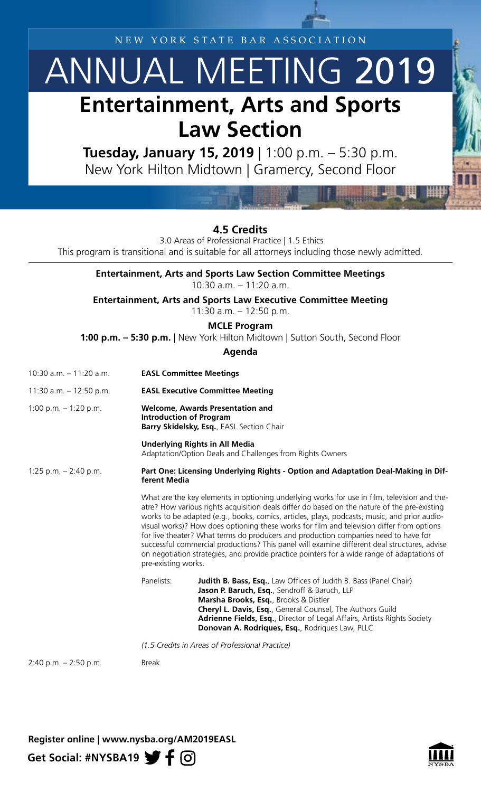NEW YORK STATE BAR ASSOCIATION

## ANNUAL MEETING 2019 **Entertainment, Arts and Sports Law Section**

**Tuesday, January 15, 2019** | 1:00 p.m. – 5:30 p.m. New York Hilton Midtown | Gramercy, Second Floor

**4.5 Credits**

3.0 Areas of Professional Practice | 1.5 Ethics

This program is transitional and is suitable for all attorneys including those newly admitted.

**Entertainment, Arts and Sports Law Section Committee Meetings** 10:30 a.m. – 11:20 a.m.

**Entertainment, Arts and Sports Law Executive Committee Meeting**

11:30 a.m. – 12:50 p.m.

**MCLE Program** 

**1:00 p.m. – 5:30 p.m.** | New York Hilton Midtown | Sutton South, Second Floor

**Agenda**

| 10:30 a.m. - 11:20 a.m.   | <b>EASL Committee Meetings</b>                                                                                         |                                                                                                                                                                                                                                                                                                                                                                                                                                                                                                                                                                                                                                                                                 |  |
|---------------------------|------------------------------------------------------------------------------------------------------------------------|---------------------------------------------------------------------------------------------------------------------------------------------------------------------------------------------------------------------------------------------------------------------------------------------------------------------------------------------------------------------------------------------------------------------------------------------------------------------------------------------------------------------------------------------------------------------------------------------------------------------------------------------------------------------------------|--|
| 11:30 a.m. $-$ 12:50 p.m. | <b>EASL Executive Committee Meeting</b>                                                                                |                                                                                                                                                                                                                                                                                                                                                                                                                                                                                                                                                                                                                                                                                 |  |
| 1:00 p.m. $-$ 1:20 p.m.   | <b>Welcome, Awards Presentation and</b><br><b>Introduction of Program</b><br>Barry Skidelsky, Esq., EASL Section Chair |                                                                                                                                                                                                                                                                                                                                                                                                                                                                                                                                                                                                                                                                                 |  |
|                           | <b>Underlying Rights in All Media</b><br>Adaptation/Option Deals and Challenges from Rights Owners                     |                                                                                                                                                                                                                                                                                                                                                                                                                                                                                                                                                                                                                                                                                 |  |
| 1:25 p.m. $-$ 2:40 p.m.   | Part One: Licensing Underlying Rights - Option and Adaptation Deal-Making in Dif-<br>ferent Media                      |                                                                                                                                                                                                                                                                                                                                                                                                                                                                                                                                                                                                                                                                                 |  |
|                           | pre-existing works.                                                                                                    | What are the key elements in optioning underlying works for use in film, television and the-<br>atre? How various rights acquisition deals differ do based on the nature of the pre-existing<br>works to be adapted (e.g., books, comics, articles, plays, podcasts, music, and prior audio-<br>visual works)? How does optioning these works for film and television differ from options<br>for live theater? What terms do producers and production companies need to have for<br>successful commercial productions? This panel will examine different deal structures, advise<br>on negotiation strategies, and provide practice pointers for a wide range of adaptations of |  |
|                           | Panelists:                                                                                                             | <b>Judith B. Bass, Esq.</b> , Law Offices of Judith B. Bass (Panel Chair)<br>Jason P. Baruch, Esq., Sendroff & Baruch, LLP<br>Marsha Brooks, Esq., Brooks & Distler<br>Cheryl L. Davis, Esq., General Counsel, The Authors Guild<br>Adrienne Fields, Esq., Director of Legal Affairs, Artists Rights Society<br>Donovan A. Rodriques, Esq., Rodriques Law, PLLC                                                                                                                                                                                                                                                                                                                 |  |
|                           | (1.5 Credits in Areas of Professional Practice)                                                                        |                                                                                                                                                                                                                                                                                                                                                                                                                                                                                                                                                                                                                                                                                 |  |
| $2:40$ p.m. $-2:50$ p.m.  | <b>Break</b>                                                                                                           |                                                                                                                                                                                                                                                                                                                                                                                                                                                                                                                                                                                                                                                                                 |  |

Get Social: #NYSBA19 **f**  $\odot$ **Register online | [www.nysba.org/AM2019](http://www.nysba.org/am2019family/)EASL**